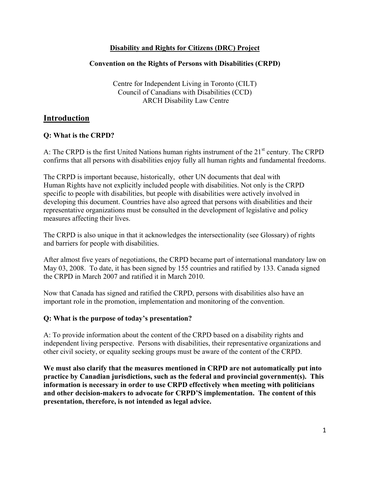# **Disability and Rights for Citizens (DRC) Project**

# **Convention on the Rights of Persons with Disabilities (CRPD)**

Centre for Independent Living in Toronto (CILT) Council of Canadians with Disabilities (CCD) ARCH Disability Law Centre

# **Introduction**

# **Q: What is the CRPD?**

A: The CRPD is the first United Nations human rights instrument of the 21<sup>st</sup> century. The CRPD confirms that all persons with disabilities enjoy fully all human rights and fundamental freedoms.

The CRPD is important because, historically, other UN documents that deal with Human Rights have not explicitly included people with disabilities. Not only is the CRPD specific to people with disabilities, but people with disabilities were actively involved in developing this document. Countries have also agreed that persons with disabilities and their representative organizations must be consulted in the development of legislative and policy measures affecting their lives.

The CRPD is also unique in that it acknowledges the intersectionality (see Glossary) of rights and barriers for people with disabilities.

After almost five years of negotiations, the CRPD became part of international mandatory law on May 03, 2008. To date, it has been signed by 155 countries and ratified by 133. Canada signed the CRPD in March 2007 and ratified it in March 2010.

Now that Canada has signed and ratified the CRPD, persons with disabilities also have an important role in the promotion, implementation and monitoring of the convention.

# **Q: What is the purpose of today's presentation?**

A: To provide information about the content of the CRPD based on a disability rights and independent living perspective. Persons with disabilities, their representative organizations and other civil society, or equality seeking groups must be aware of the content of the CRPD.

**We must also clarify that the measures mentioned in CRPD are not automatically put into practice by Canadian jurisdictions, such as the federal and provincial government(s). This information is necessary in order to use CRPD effectively when meeting with politicians and other decision-makers to advocate for CRPD'S implementation. The content of this presentation, therefore, is not intended as legal advice.**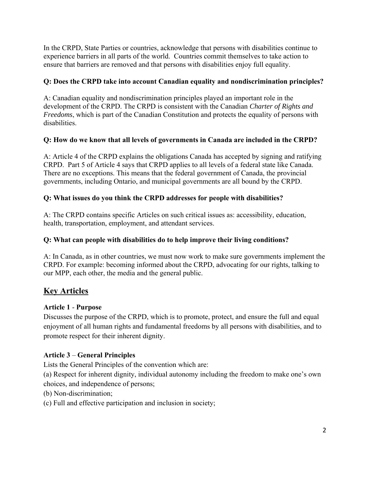In the CRPD, State Parties or countries, acknowledge that persons with disabilities continue to experience barriers in all parts of the world. Countries commit themselves to take action to ensure that barriers are removed and that persons with disabilities enjoy full equality.

# **Q: Does the CRPD take into account Canadian equality and nondiscrimination principles?**

A: Canadian equality and nondiscrimination principles played an important role in the development of the CRPD. The CRPD is consistent with the Canadian *Charter of Rights and Freedoms*, which is part of the Canadian Constitution and protects the equality of persons with disabilities.

# **Q: How do we know that all levels of governments in Canada are included in the CRPD?**

A: Article 4 of the CRPD explains the obligations Canada has accepted by signing and ratifying CRPD. Part 5 of Article 4 says that CRPD applies to all levels of a federal state like Canada. There are no exceptions. This means that the federal government of Canada, the provincial governments, including Ontario, and municipal governments are all bound by the CRPD.

# **Q: What issues do you think the CRPD addresses for people with disabilities?**

A: The CRPD contains specific Articles on such critical issues as: accessibility, education, health, transportation, employment, and attendant services.

# **Q: What can people with disabilities do to help improve their living conditions?**

A: In Canada, as in other countries, we must now work to make sure governments implement the CRPD. For example: becoming informed about the CRPD, advocating for our rights, talking to our MPP, each other, the media and the general public.

# **Key Articles**

# **Article 1** - **Purpose**

Discusses the purpose of the CRPD, which is to promote, protect, and ensure the full and equal enjoyment of all human rights and fundamental freedoms by all persons with disabilities, and to promote respect for their inherent dignity.

# **Article 3** – **General Principles**

Lists the General Principles of the convention which are:

(a) Respect for inherent dignity, individual autonomy including the freedom to make one's own choices, and independence of persons;

- (b) Non-discrimination;
- (c) Full and effective participation and inclusion in society;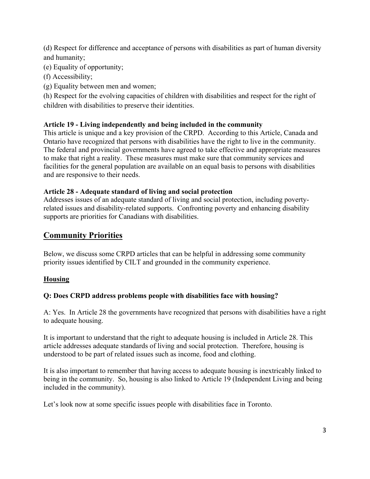(d) Respect for difference and acceptance of persons with disabilities as part of human diversity and humanity;

- (e) Equality of opportunity;
- (f) Accessibility;
- (g) Equality between men and women;

(h) Respect for the evolving capacities of children with disabilities and respect for the right of children with disabilities to preserve their identities.

# **Article 19 - Living independently and being included in the community**

This article is unique and a key provision of the CRPD. According to this Article, Canada and Ontario have recognized that persons with disabilities have the right to live in the community. The federal and provincial governments have agreed to take effective and appropriate measures to make that right a reality. These measures must make sure that community services and facilities for the general population are available on an equal basis to persons with disabilities and are responsive to their needs.

# **Article 28 - Adequate standard of living and social protection**

Addresses issues of an adequate standard of living and social protection, including povertyrelated issues and disability-related supports. Confronting poverty and enhancing disability supports are priorities for Canadians with disabilities.

# **Community Priorities**

Below, we discuss some CRPD articles that can be helpful in addressing some community priority issues identified by CILT and grounded in the community experience.

# **Housing**

# **Q: Does CRPD address problems people with disabilities face with housing?**

A: Yes. In Article 28 the governments have recognized that persons with disabilities have a right to adequate housing.

It is important to understand that the right to adequate housing is included in Article 28. This article addresses adequate standards of living and social protection. Therefore, housing is understood to be part of related issues such as income, food and clothing.

It is also important to remember that having access to adequate housing is inextricably linked to being in the community. So, housing is also linked to Article 19 (Independent Living and being included in the community).

Let's look now at some specific issues people with disabilities face in Toronto.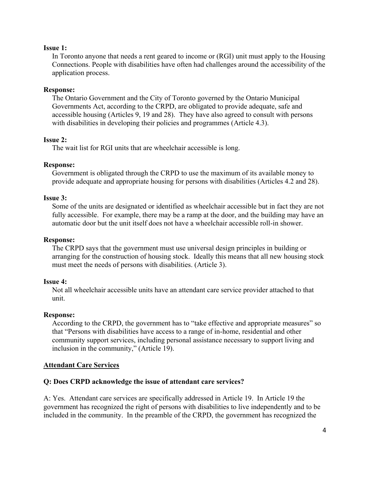# **Issue 1:**

In Toronto anyone that needs a rent geared to income or (RGI) unit must apply to the Housing Connections. People with disabilities have often had challenges around the accessibility of the application process.

# **Response:**

The Ontario Government and the City of Toronto governed by the Ontario Municipal Governments Act, according to the CRPD, are obligated to provide adequate, safe and accessible housing (Articles 9, 19 and 28). They have also agreed to consult with persons with disabilities in developing their policies and programmes (Article 4.3).

## **Issue 2:**

The wait list for RGI units that are wheelchair accessible is long.

## **Response:**

Government is obligated through the CRPD to use the maximum of its available money to provide adequate and appropriate housing for persons with disabilities (Articles 4.2 and 28).

# **Issue 3:**

Some of the units are designated or identified as wheelchair accessible but in fact they are not fully accessible. For example, there may be a ramp at the door, and the building may have an automatic door but the unit itself does not have a wheelchair accessible roll-in shower.

## **Response:**

The CRPD says that the government must use universal design principles in building or arranging for the construction of housing stock. Ideally this means that all new housing stock must meet the needs of persons with disabilities. (Article 3).

## **Issue 4:**

Not all wheelchair accessible units have an attendant care service provider attached to that unit.

## **Response:**

According to the CRPD, the government has to "take effective and appropriate measures" so that "Persons with disabilities have access to a range of in-home, residential and other community support services, including personal assistance necessary to support living and inclusion in the community," (Article 19).

# **Attendant Care Services**

# **Q: Does CRPD acknowledge the issue of attendant care services?**

A: Yes. Attendant care services are specifically addressed in Article 19. In Article 19 the government has recognized the right of persons with disabilities to live independently and to be included in the community. In the preamble of the CRPD, the government has recognized the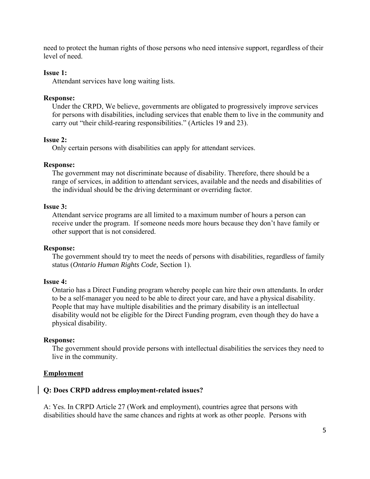need to protect the human rights of those persons who need intensive support, regardless of their level of need.

## **Issue 1:**

Attendant services have long waiting lists.

### **Response:**

Under the CRPD, We believe, governments are obligated to progressively improve services for persons with disabilities, including services that enable them to live in the community and carry out "their child-rearing responsibilities." (Articles 19 and 23).

## **Issue 2:**

Only certain persons with disabilities can apply for attendant services.

### **Response:**

The government may not discriminate because of disability. Therefore, there should be a range of services, in addition to attendant services, available and the needs and disabilities of the individual should be the driving determinant or overriding factor.

# **Issue 3:**

Attendant service programs are all limited to a maximum number of hours a person can receive under the program. If someone needs more hours because they don't have family or other support that is not considered.

#### **Response:**

The government should try to meet the needs of persons with disabilities, regardless of family status (*Ontario Human Rights Code,* Section 1).

### **Issue 4:**

Ontario has a Direct Funding program whereby people can hire their own attendants. In order to be a self-manager you need to be able to direct your care, and have a physical disability. People that may have multiple disabilities and the primary disability is an intellectual disability would not be eligible for the Direct Funding program, even though they do have a physical disability.

#### **Response:**

The government should provide persons with intellectual disabilities the services they need to live in the community.

## **Employment**

## **Q: Does CRPD address employment-related issues?**

A: Yes. In CRPD Article 27 (Work and employment), countries agree that persons with disabilities should have the same chances and rights at work as other people. Persons with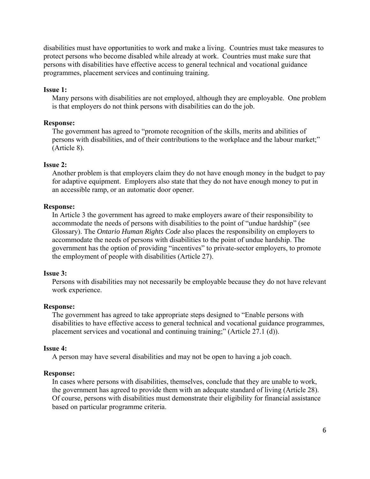disabilities must have opportunities to work and make a living. Countries must take measures to protect persons who become disabled while already at work. Countries must make sure that persons with disabilities have effective access to general technical and vocational guidance programmes, placement services and continuing training.

## **Issue 1:**

Many persons with disabilities are not employed, although they are employable. One problem is that employers do not think persons with disabilities can do the job.

## **Response:**

The government has agreed to "promote recognition of the skills, merits and abilities of persons with disabilities, and of their contributions to the workplace and the labour market;" (Article 8).

#### **Issue 2:**

Another problem is that employers claim they do not have enough money in the budget to pay for adaptive equipment. Employers also state that they do not have enough money to put in an accessible ramp, or an automatic door opener.

#### **Response:**

In Article 3 the government has agreed to make employers aware of their responsibility to accommodate the needs of persons with disabilities to the point of "undue hardship" (see Glossary). The *Ontario Human Rights Code* also places the responsibility on employers to accommodate the needs of persons with disabilities to the point of undue hardship. The government has the option of providing "incentives" to private-sector employers, to promote the employment of people with disabilities (Article 27).

### **Issue 3:**

Persons with disabilities may not necessarily be employable because they do not have relevant work experience.

#### **Response:**

The government has agreed to take appropriate steps designed to "Enable persons with disabilities to have effective access to general technical and vocational guidance programmes, placement services and vocational and continuing training;" (Article 27.1 (d)).

#### **Issue 4:**

A person may have several disabilities and may not be open to having a job coach.

#### **Response:**

In cases where persons with disabilities, themselves, conclude that they are unable to work, the government has agreed to provide them with an adequate standard of living (Article 28). Of course, persons with disabilities must demonstrate their eligibility for financial assistance based on particular programme criteria.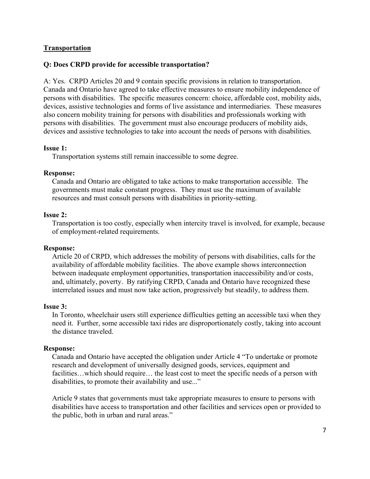# **Transportation**

# **Q: Does CRPD provide for accessible transportation?**

A: Yes. CRPD Articles 20 and 9 contain specific provisions in relation to transportation. Canada and Ontario have agreed to take effective measures to ensure mobility independence of persons with disabilities. The specific measures concern: choice, affordable cost, mobility aids, devices, assistive technologies and forms of live assistance and intermediaries. These measures also concern mobility training for persons with disabilities and professionals working with persons with disabilities. The government must also encourage producers of mobility aids, devices and assistive technologies to take into account the needs of persons with disabilities.

## **Issue 1:**

Transportation systems still remain inaccessible to some degree.

## **Response:**

Canada and Ontario are obligated to take actions to make transportation accessible. The governments must make constant progress. They must use the maximum of available resources and must consult persons with disabilities in priority-setting.

## **Issue 2:**

Transportation is too costly, especially when intercity travel is involved, for example, because of employment-related requirements.

## **Response:**

Article 20 of CRPD, which addresses the mobility of persons with disabilities, calls for the availability of affordable mobility facilities. The above example shows interconnection between inadequate employment opportunities, transportation inaccessibility and/or costs, and, ultimately, poverty. By ratifying CRPD, Canada and Ontario have recognized these interrelated issues and must now take action, progressively but steadily, to address them.

## **Issue 3:**

In Toronto, wheelchair users still experience difficulties getting an accessible taxi when they need it. Further, some accessible taxi rides are disproportionately costly, taking into account the distance traveled.

## **Response:**

Canada and Ontario have accepted the obligation under Article 4 "To undertake or promote research and development of universally designed goods, services, equipment and facilities…which should require… the least cost to meet the specific needs of a person with disabilities, to promote their availability and use..."

Article 9 states that governments must take appropriate measures to ensure to persons with disabilities have access to transportation and other facilities and services open or provided to the public, both in urban and rural areas."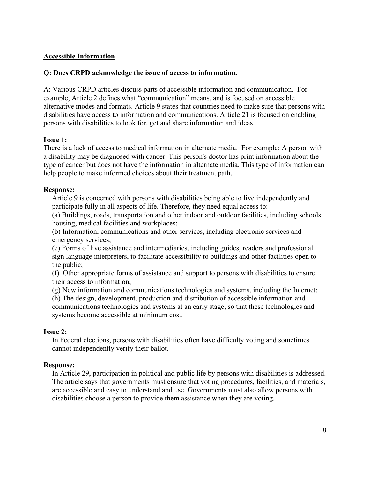# **Accessible Information**

# **Q: Does CRPD acknowledge the issue of access to information.**

A: Various CRPD articles discuss parts of accessible information and communication. For example, Article 2 defines what "communication" means, and is focused on accessible alternative modes and formats. Article 9 states that countries need to make sure that persons with disabilities have access to information and communications. Article 21 is focused on enabling persons with disabilities to look for, get and share information and ideas.

# **Issue 1:**

There is a lack of access to medical information in alternate media. For example: A person with a disability may be diagnosed with cancer. This person's doctor has print information about the type of cancer but does not have the information in alternate media. This type of information can help people to make informed choices about their treatment path.

# **Response:**

Article 9 is concerned with persons with disabilities being able to live independently and participate fully in all aspects of life. Therefore, they need equal access to:

(a) Buildings, roads, transportation and other indoor and outdoor facilities, including schools, housing, medical facilities and workplaces;

(b) Information, communications and other services, including electronic services and emergency services;

(e) Forms of live assistance and intermediaries, including guides, readers and professional sign language interpreters, to facilitate accessibility to buildings and other facilities open to the public;

(f) Other appropriate forms of assistance and support to persons with disabilities to ensure their access to information;

(g) New information and communications technologies and systems, including the Internet; (h) The design, development, production and distribution of accessible information and communications technologies and systems at an early stage, so that these technologies and systems become accessible at minimum cost.

## **Issue 2:**

In Federal elections, persons with disabilities often have difficulty voting and sometimes cannot independently verify their ballot.

## **Response:**

In Article 29, participation in political and public life by persons with disabilities is addressed. The article says that governments must ensure that voting procedures, facilities, and materials, are accessible and easy to understand and use. Governments must also allow persons with disabilities choose a person to provide them assistance when they are voting.